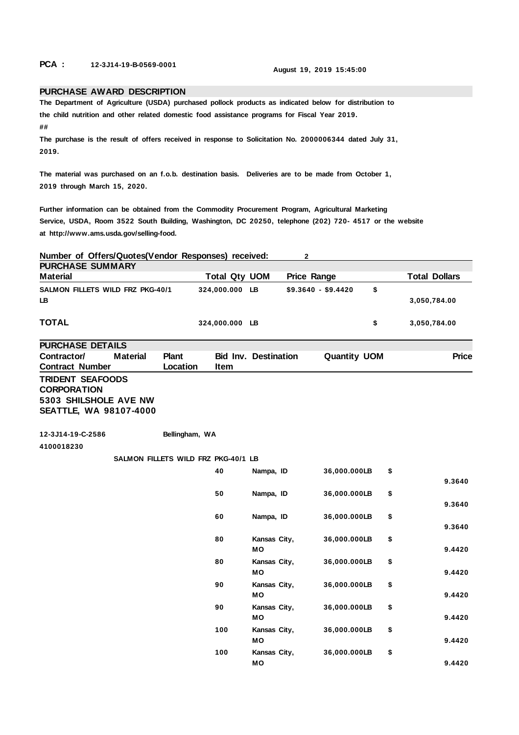**PCA : 12-3J14-19-B-0569-0001 August 19, 2019 15:45:00**

## **PURCHASE AWARD DESCRIPTION**

**The Department of Agriculture (USDA) purchased pollock products as indicated below for distribution to the child nutrition and other related domestic food assistance programs for Fiscal Year 2019.**

**##**

**The purchase is the result of offers received in response to Solicitation No. 2000006344 dated July 31, 2019.**

**The material was purchased on an f.o.b. destination basis. Deliveries are to be made from October 1, 2019 through March 15, 2020.**

**Further information can be obtained from the Commodity Procurement Program, Agricultural Marketing Service, USDA, Room 3522 South Building, Washington, DC 20250, telephone (202) 720- 4517 or the website at http://www.ams.usda.gov/selling-food.**

| Number of Offers/Quotes(Vendor Responses) received:                                                     |                 |                   |                                     |                           | 2                   |                     |                      |
|---------------------------------------------------------------------------------------------------------|-----------------|-------------------|-------------------------------------|---------------------------|---------------------|---------------------|----------------------|
| <b>PURCHASE SUMMARY</b>                                                                                 |                 |                   |                                     |                           |                     |                     |                      |
| <b>Material</b>                                                                                         |                 |                   | Total Qty UOM                       |                           | <b>Price Range</b>  |                     | <b>Total Dollars</b> |
| SALMON FILLETS WILD FRZ PKG-40/1<br>LB                                                                  |                 |                   | 324,000.000 LB                      |                           | $$9.3640 - $9.4420$ |                     | \$<br>3,050,784.00   |
| <b>TOTAL</b>                                                                                            |                 |                   | 324,000.000 LB                      |                           |                     |                     | \$<br>3,050,784.00   |
| <b>PURCHASE DETAILS</b>                                                                                 |                 |                   |                                     |                           |                     |                     |                      |
| Contractor/<br><b>Contract Number</b>                                                                   | <b>Material</b> | Plant<br>Location | <b>Bid Inv. Destination</b><br>Item |                           |                     | <b>Quantity UOM</b> | <b>Price</b>         |
| <b>TRIDENT SEAFOODS</b><br><b>CORPORATION</b><br>5303 SHILSHOLE AVE NW<br><b>SEATTLE, WA 98107-4000</b> |                 |                   |                                     |                           |                     |                     |                      |
| 12-3J14-19-C-2586                                                                                       |                 | Bellingham, WA    |                                     |                           |                     |                     |                      |
| 4100018230                                                                                              |                 |                   |                                     |                           |                     |                     |                      |
|                                                                                                         |                 |                   | SALMON FILLETS WILD FRZ PKG-40/1 LB |                           |                     |                     |                      |
|                                                                                                         |                 |                   | 40                                  | Nampa, ID                 |                     | 36,000.000LB        | \$<br>9.3640         |
|                                                                                                         |                 |                   | 50                                  | Nampa, ID                 |                     | 36,000.000LB        | \$<br>9.3640         |
|                                                                                                         |                 |                   | 60                                  | Nampa, ID                 |                     | 36,000.000LB        | \$<br>9.3640         |
|                                                                                                         |                 |                   | 80                                  | Kansas City,<br><b>MO</b> |                     | 36,000.000LB        | \$<br>9.4420         |
|                                                                                                         |                 |                   | 80                                  | Kansas City,<br>MО        |                     | 36,000.000LB        | \$<br>9.4420         |
|                                                                                                         |                 |                   | 90                                  | Kansas City,<br><b>MO</b> |                     | 36,000.000LB        | \$<br>9.4420         |
|                                                                                                         |                 |                   | 90                                  | Kansas City,<br>MО        |                     | 36,000.000LB        | \$<br>9.4420         |
|                                                                                                         |                 |                   | 100                                 | Kansas City,<br>MO        |                     | 36,000.000LB        | \$<br>9.4420         |
|                                                                                                         |                 |                   | 100                                 | Kansas City,<br>MО        |                     | 36,000.000LB        | \$<br>9.4420         |